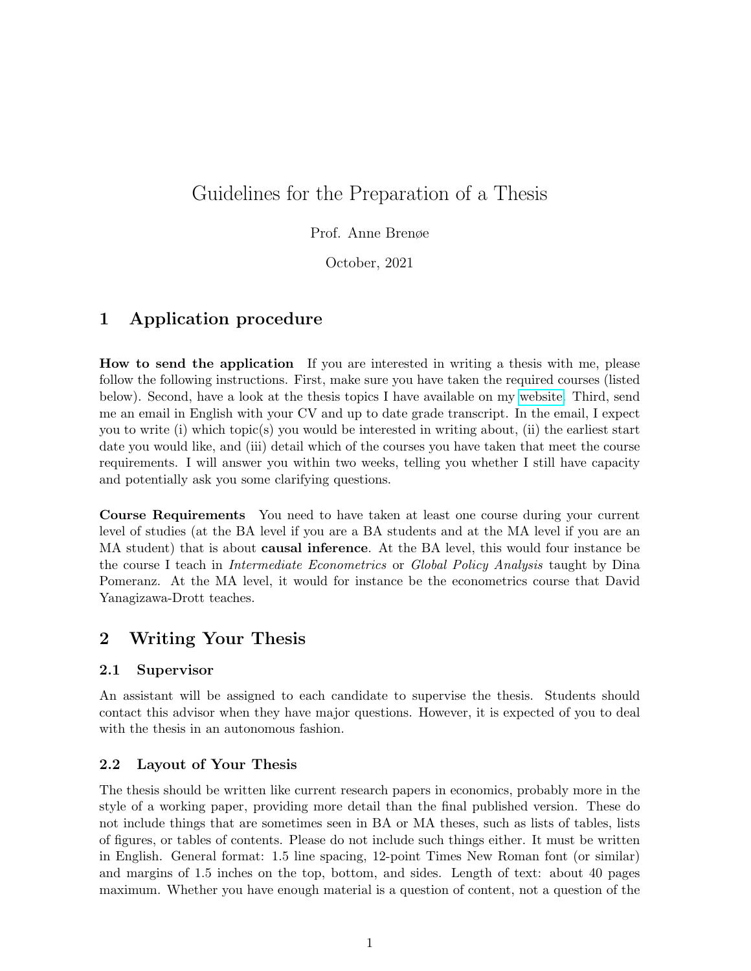# Guidelines for the Preparation of a Thesis

Prof. Anne Brenøe

October, 2021

# 1 Application procedure

How to send the application If you are interested in writing a thesis with me, please follow the following instructions. First, make sure you have taken the required courses (listed below). Second, have a look at the thesis topics I have available on my [website.](https://sites.google.com/view/aabrenoe/teaching) Third, send me an email in English with your CV and up to date grade transcript. In the email, I expect you to write (i) which topic(s) you would be interested in writing about, (ii) the earliest start date you would like, and (iii) detail which of the courses you have taken that meet the course requirements. I will answer you within two weeks, telling you whether I still have capacity and potentially ask you some clarifying questions.

Course Requirements You need to have taken at least one course during your current level of studies (at the BA level if you are a BA students and at the MA level if you are an MA student) that is about **causal inference**. At the BA level, this would four instance be the course I teach in *Intermediate Econometrics* or *Global Policy Analysis* taught by Dina Pomeranz. At the MA level, it would for instance be the econometrics course that David Yanagizawa-Drott teaches.

# 2 Writing Your Thesis

# 2.1 Supervisor

An assistant will be assigned to each candidate to supervise the thesis. Students should contact this advisor when they have major questions. However, it is expected of you to deal with the thesis in an autonomous fashion.

# 2.2 Layout of Your Thesis

The thesis should be written like current research papers in economics, probably more in the style of a working paper, providing more detail than the final published version. These do not include things that are sometimes seen in BA or MA theses, such as lists of tables, lists of figures, or tables of contents. Please do not include such things either. It must be written in English. General format: 1.5 line spacing, 12-point Times New Roman font (or similar) and margins of 1.5 inches on the top, bottom, and sides. Length of text: about 40 pages maximum. Whether you have enough material is a question of content, not a question of the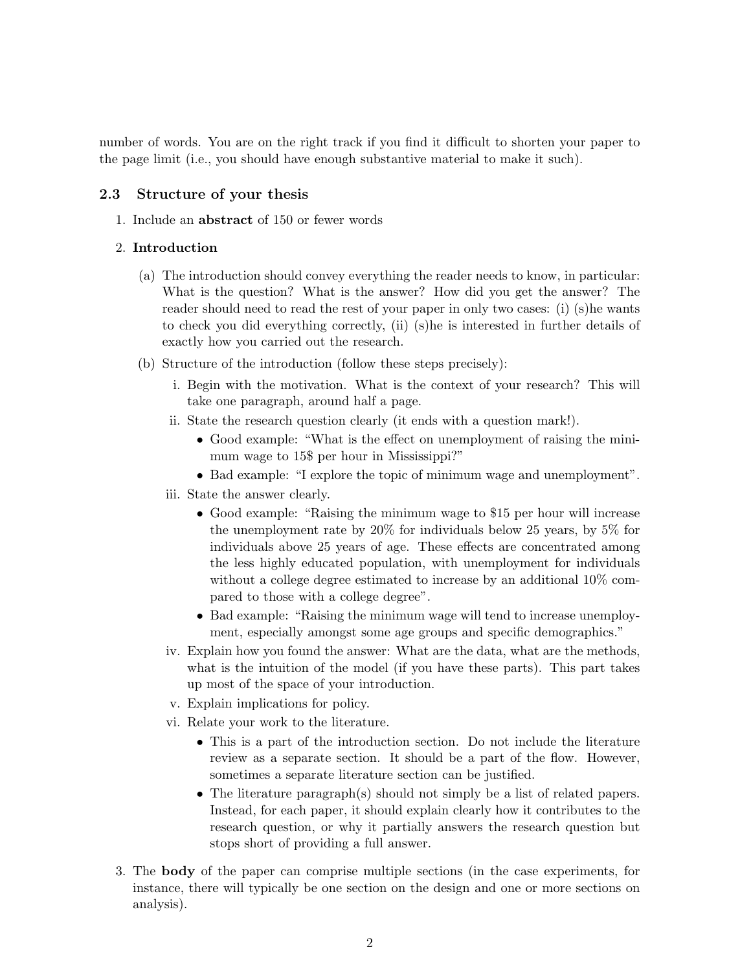number of words. You are on the right track if you find it difficult to shorten your paper to the page limit (i.e., you should have enough substantive material to make it such).

### 2.3 Structure of your thesis

1. Include an abstract of 150 or fewer words

#### 2. Introduction

- (a) The introduction should convey everything the reader needs to know, in particular: What is the question? What is the answer? How did you get the answer? The reader should need to read the rest of your paper in only two cases: (i) (s)he wants to check you did everything correctly, (ii) (s)he is interested in further details of exactly how you carried out the research.
- (b) Structure of the introduction (follow these steps precisely):
	- i. Begin with the motivation. What is the context of your research? This will take one paragraph, around half a page.
	- ii. State the research question clearly (it ends with a question mark!).
		- Good example: "What is the effect on unemployment of raising the minimum wage to 15\$ per hour in Mississippi?"
		- Bad example: "I explore the topic of minimum wage and unemployment".
	- iii. State the answer clearly.
		- Good example: "Raising the minimum wage to \$15 per hour will increase the unemployment rate by 20% for individuals below 25 years, by 5% for individuals above 25 years of age. These effects are concentrated among the less highly educated population, with unemployment for individuals without a college degree estimated to increase by an additional 10% compared to those with a college degree".
		- Bad example: "Raising the minimum wage will tend to increase unemployment, especially amongst some age groups and specific demographics."
	- iv. Explain how you found the answer: What are the data, what are the methods, what is the intuition of the model (if you have these parts). This part takes up most of the space of your introduction.
	- v. Explain implications for policy.
	- vi. Relate your work to the literature.
		- This is a part of the introduction section. Do not include the literature review as a separate section. It should be a part of the flow. However, sometimes a separate literature section can be justified.
		- The literature paragraph(s) should not simply be a list of related papers. Instead, for each paper, it should explain clearly how it contributes to the research question, or why it partially answers the research question but stops short of providing a full answer.
- 3. The body of the paper can comprise multiple sections (in the case experiments, for instance, there will typically be one section on the design and one or more sections on analysis).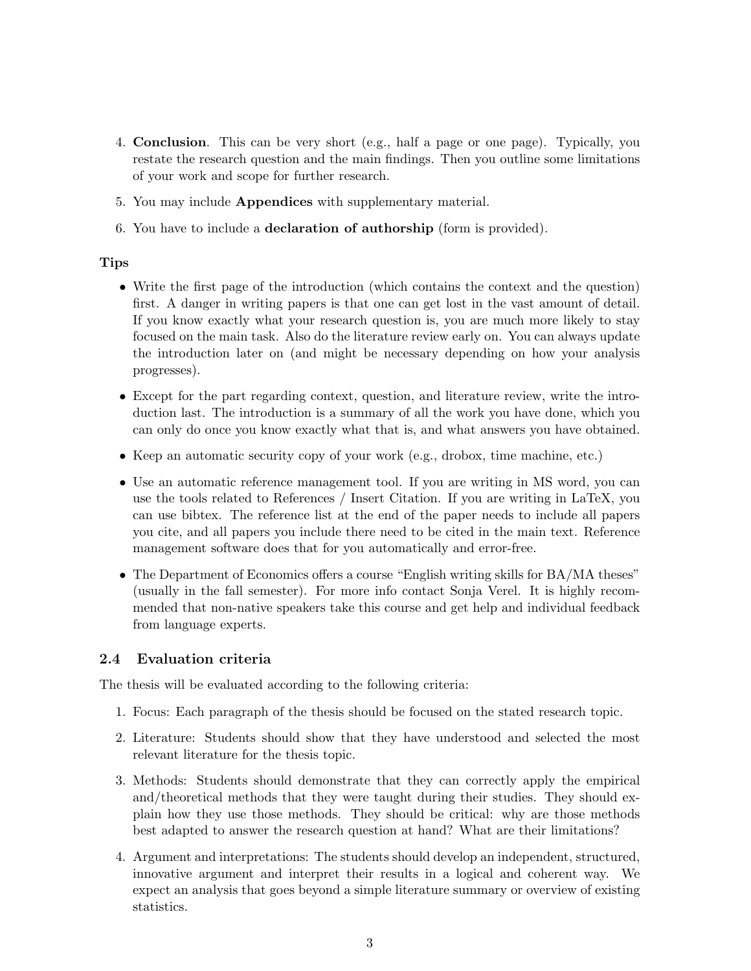- 4. Conclusion. This can be very short (e.g., half a page or one page). Typically, you restate the research question and the main findings. Then you outline some limitations of your work and scope for further research.
- 5. You may include Appendices with supplementary material.
- 6. You have to include a declaration of authorship (form is provided).

#### Tips

- Write the first page of the introduction (which contains the context and the question) first. A danger in writing papers is that one can get lost in the vast amount of detail. If you know exactly what your research question is, you are much more likely to stay focused on the main task. Also do the literature review early on. You can always update the introduction later on (and might be necessary depending on how your analysis progresses).
- Except for the part regarding context, question, and literature review, write the introduction last. The introduction is a summary of all the work you have done, which you can only do once you know exactly what that is, and what answers you have obtained.
- Keep an automatic security copy of your work (e.g., drobox, time machine, etc.)
- Use an automatic reference management tool. If you are writing in MS word, you can use the tools related to References / Insert Citation. If you are writing in LaTeX, you can use bibtex. The reference list at the end of the paper needs to include all papers you cite, and all papers you include there need to be cited in the main text. Reference management software does that for you automatically and error-free.
- The Department of Economics offers a course "English writing skills for BA/MA theses" (usually in the fall semester). For more info contact Sonja Verel. It is highly recommended that non-native speakers take this course and get help and individual feedback from language experts.

### 2.4 Evaluation criteria

The thesis will be evaluated according to the following criteria:

- 1. Focus: Each paragraph of the thesis should be focused on the stated research topic.
- 2. Literature: Students should show that they have understood and selected the most relevant literature for the thesis topic.
- 3. Methods: Students should demonstrate that they can correctly apply the empirical and/theoretical methods that they were taught during their studies. They should explain how they use those methods. They should be critical: why are those methods best adapted to answer the research question at hand? What are their limitations?
- 4. Argument and interpretations: The students should develop an independent, structured, innovative argument and interpret their results in a logical and coherent way. We expect an analysis that goes beyond a simple literature summary or overview of existing statistics.